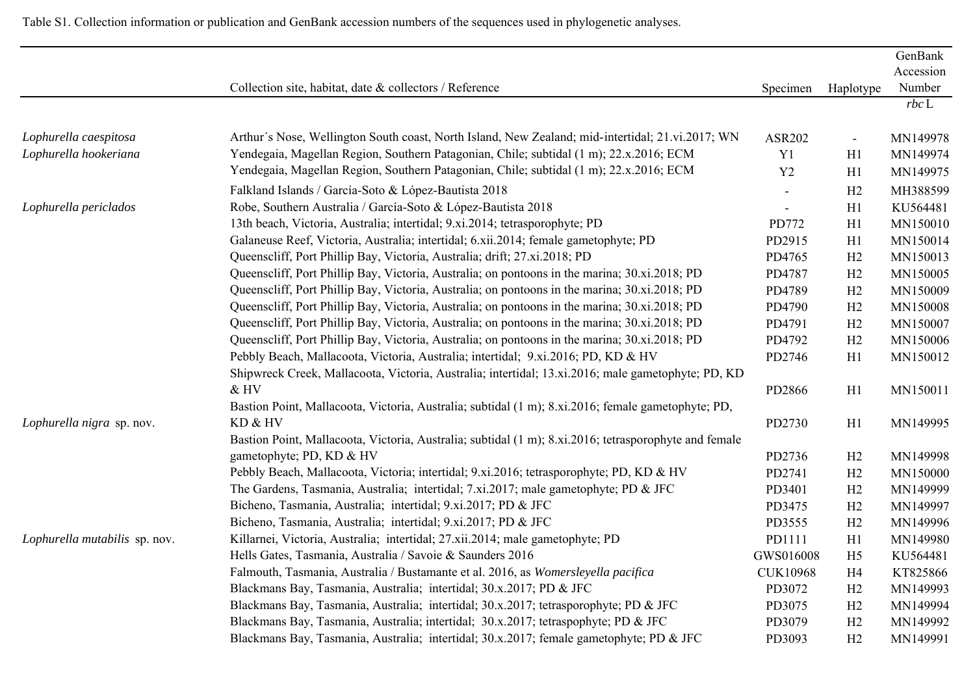|                               |                                                                                                       |                 |                | GenBank    |
|-------------------------------|-------------------------------------------------------------------------------------------------------|-----------------|----------------|------------|
|                               |                                                                                                       |                 |                | Accession  |
|                               | Collection site, habitat, date & collectors / Reference                                               | Specimen        | Haplotype      | Number     |
|                               |                                                                                                       |                 |                | $rbc \, L$ |
| Lophurella caespitosa         | Arthur's Nose, Wellington South coast, North Island, New Zealand; mid-intertidal; 21.vi.2017; WN      | <b>ASR202</b>   | $\blacksquare$ | MN149978   |
| Lophurella hookeriana         | Yendegaia, Magellan Region, Southern Patagonian, Chile; subtidal (1 m); 22.x.2016; ECM                | Y1              | H1             | MN149974   |
|                               | Yendegaia, Magellan Region, Southern Patagonian, Chile; subtidal (1 m); 22.x.2016; ECM                | Y2              | H1             | MN149975   |
|                               | Falkland Islands / García-Soto & López-Bautista 2018                                                  |                 | H2             | MH388599   |
| Lophurella periclados         | Robe, Southern Australia / García-Soto & López-Bautista 2018                                          |                 | H1             | KU564481   |
|                               | 13th beach, Victoria, Australia; intertidal; 9.xi.2014; tetrasporophyte; PD                           | PD772           | H1             | MN150010   |
|                               | Galaneuse Reef, Victoria, Australia; intertidal; 6.xii.2014; female gametophyte; PD                   | PD2915          | H1             | MN150014   |
|                               | Queenscliff, Port Phillip Bay, Victoria, Australia; drift; 27.xi.2018; PD                             | PD4765          | H2             | MN150013   |
|                               | Queenscliff, Port Phillip Bay, Victoria, Australia; on pontoons in the marina; 30.xi.2018; PD         | PD4787          | H2             | MN150005   |
|                               | Queenscliff, Port Phillip Bay, Victoria, Australia; on pontoons in the marina; 30.xi.2018; PD         | PD4789          | H2             | MN150009   |
|                               | Queenscliff, Port Phillip Bay, Victoria, Australia; on pontoons in the marina; 30.xi.2018; PD         | PD4790          | H2             | MN150008   |
|                               | Queenscliff, Port Phillip Bay, Victoria, Australia; on pontoons in the marina; 30.xi.2018; PD         | PD4791          | H2             | MN150007   |
|                               | Queenscliff, Port Phillip Bay, Victoria, Australia; on pontoons in the marina; 30.xi.2018; PD         | PD4792          | H2             | MN150006   |
|                               | Pebbly Beach, Mallacoota, Victoria, Australia; intertidal; 9.xi.2016; PD, KD & HV                     | PD2746          | H1             | MN150012   |
|                               | Shipwreck Creek, Mallacoota, Victoria, Australia; intertidal; 13.xi.2016; male gametophyte; PD, KD    |                 |                |            |
|                               | & HV                                                                                                  | PD2866          | H1             | MN150011   |
|                               | Bastion Point, Mallacoota, Victoria, Australia; subtidal (1 m); 8.xi.2016; female gametophyte; PD,    |                 |                |            |
| Lophurella nigra sp. nov.     | KD & HV                                                                                               | PD2730          | H1             | MN149995   |
|                               | Bastion Point, Mallacoota, Victoria, Australia; subtidal (1 m); 8.xi.2016; tetrasporophyte and female |                 |                |            |
|                               | gametophyte; PD, KD & HV                                                                              | PD2736          | H2             | MN149998   |
|                               | Pebbly Beach, Mallacoota, Victoria; intertidal; 9.xi.2016; tetrasporophyte; PD, KD & HV               | PD2741          | H2             | MN150000   |
|                               | The Gardens, Tasmania, Australia; intertidal; 7.xi.2017; male gametophyte; PD & JFC                   | PD3401          | H2             | MN149999   |
|                               | Bicheno, Tasmania, Australia; intertidal; 9.xi.2017; PD & JFC                                         | PD3475          | H2             | MN149997   |
|                               | Bicheno, Tasmania, Australia; intertidal; 9.xi.2017; PD & JFC                                         | PD3555          | H2             | MN149996   |
| Lophurella mutabilis sp. nov. | Killarnei, Victoria, Australia; intertidal; 27.xii.2014; male gametophyte; PD                         | PD1111          | H1             | MN149980   |
|                               | Hells Gates, Tasmania, Australia / Savoie & Saunders 2016                                             | GWS016008       | H <sub>5</sub> | KU564481   |
|                               | Falmouth, Tasmania, Australia / Bustamante et al. 2016, as Womersleyella pacifica                     | <b>CUK10968</b> | H <sub>4</sub> | KT825866   |
|                               | Blackmans Bay, Tasmania, Australia; intertidal; 30.x.2017; PD & JFC                                   | PD3072          | H2             | MN149993   |
|                               | Blackmans Bay, Tasmania, Australia; intertidal; 30.x.2017; tetrasporophyte; PD & JFC                  | PD3075          | H2             | MN149994   |
|                               | Blackmans Bay, Tasmania, Australia; intertidal; 30.x.2017; tetraspophyte; PD & JFC                    | PD3079          | H2             | MN149992   |
|                               | Blackmans Bay, Tasmania, Australia; intertidal; 30.x.2017; female gametophyte; PD & JFC               | PD3093          | H2             | MN149991   |